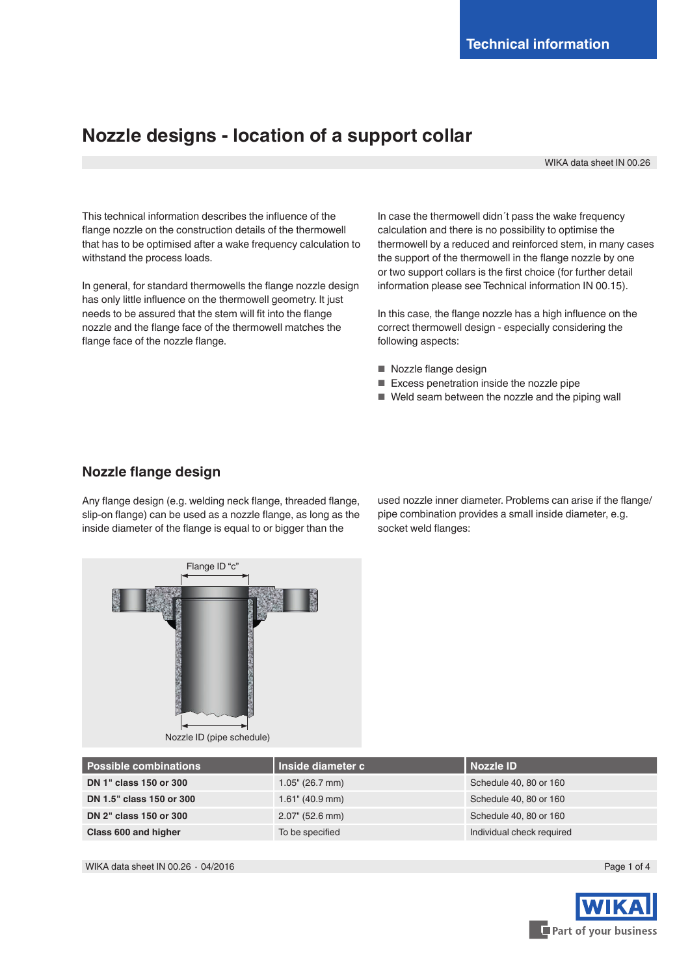# **Nozzle designs - location of a support collar**

WIKA data sheet IN 00.26

This technical information describes the influence of the flange nozzle on the construction details of the thermowell that has to be optimised after a wake frequency calculation to withstand the process loads.

In general, for standard thermowells the flange nozzle design has only little influence on the thermowell geometry. It just needs to be assured that the stem will fit into the flange nozzle and the flange face of the thermowell matches the flange face of the nozzle flange.

In case the thermowell didn´t pass the wake frequency calculation and there is no possibility to optimise the thermowell by a reduced and reinforced stem, in many cases the support of the thermowell in the flange nozzle by one or two support collars is the first choice (for further detail information please see Technical information IN 00.15).

In this case, the flange nozzle has a high influence on the correct thermowell design - especially considering the following aspects:

- Nozzle flange design
- Excess penetration inside the nozzle pipe
- Weld seam between the nozzle and the piping wall

### **Nozzle flange design**

Any flange design (e.g. welding neck flange, threaded flange, slip-on flange) can be used as a nozzle flange, as long as the inside diameter of the flange is equal to or bigger than the

used nozzle inner diameter. Problems can arise if the flange/ pipe combination provides a small inside diameter, e.g. socket weld flanges:



| <b>Possible combinations</b> | Inside diameter c  | l Nozzle ID               |
|------------------------------|--------------------|---------------------------|
| DN 1" class 150 or 300       | $1.05$ " (26.7 mm) | Schedule 40, 80 or 160    |
| DN 1.5" class 150 or 300     | $1.61$ " (40.9 mm) | Schedule 40, 80 or 160    |
| DN 2" class 150 or 300       | $2.07$ " (52.6 mm) | Schedule 40, 80 or 160    |
| Class 600 and higher         | To be specified    | Individual check required |

WIKA data sheet IN 00.26 ⋅ 04/2016 Page 1 of 4

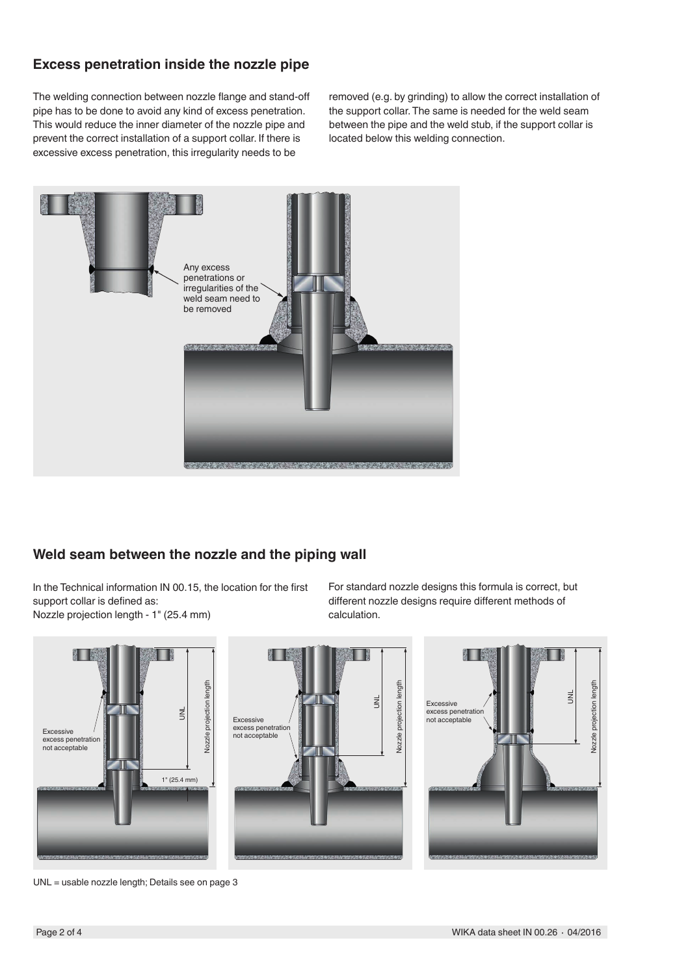# **Excess penetration inside the nozzle pipe**

The welding connection between nozzle flange and stand-off pipe has to be done to avoid any kind of excess penetration. This would reduce the inner diameter of the nozzle pipe and prevent the correct installation of a support collar. If there is excessive excess penetration, this irregularity needs to be

removed (e.g. by grinding) to allow the correct installation of the support collar. The same is needed for the weld seam between the pipe and the weld stub, if the support collar is located below this welding connection.



## **Weld seam between the nozzle and the piping wall**

In the Technical information IN 00.15, the location for the first support collar is defined as: Nozzle projection length - 1" (25.4 mm)

For standard nozzle designs this formula is correct, but different nozzle designs require different methods of calculation.



UNL = usable nozzle length; Details see on page 3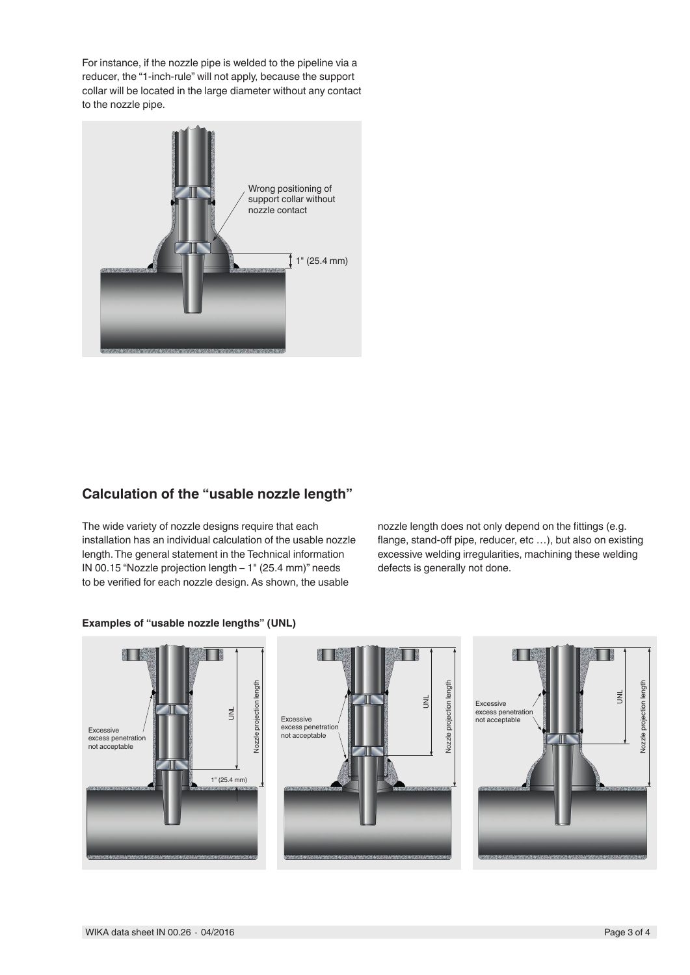For instance, if the nozzle pipe is welded to the pipeline via a reducer, the "1-inch-rule" will not apply, because the support collar will be located in the large diameter without any contact to the nozzle pipe.



# **Calculation of the "usable nozzle length"**

The wide variety of nozzle designs require that each installation has an individual calculation of the usable nozzle length. The general statement in the Technical information IN 00.15 "Nozzle projection length – 1" (25.4 mm)" needs to be verified for each nozzle design. As shown, the usable

nozzle length does not only depend on the fittings (e.g. flange, stand-off pipe, reducer, etc …), but also on existing excessive welding irregularities, machining these welding defects is generally not done.



#### **Examples of "usable nozzle lengths" (UNL)**